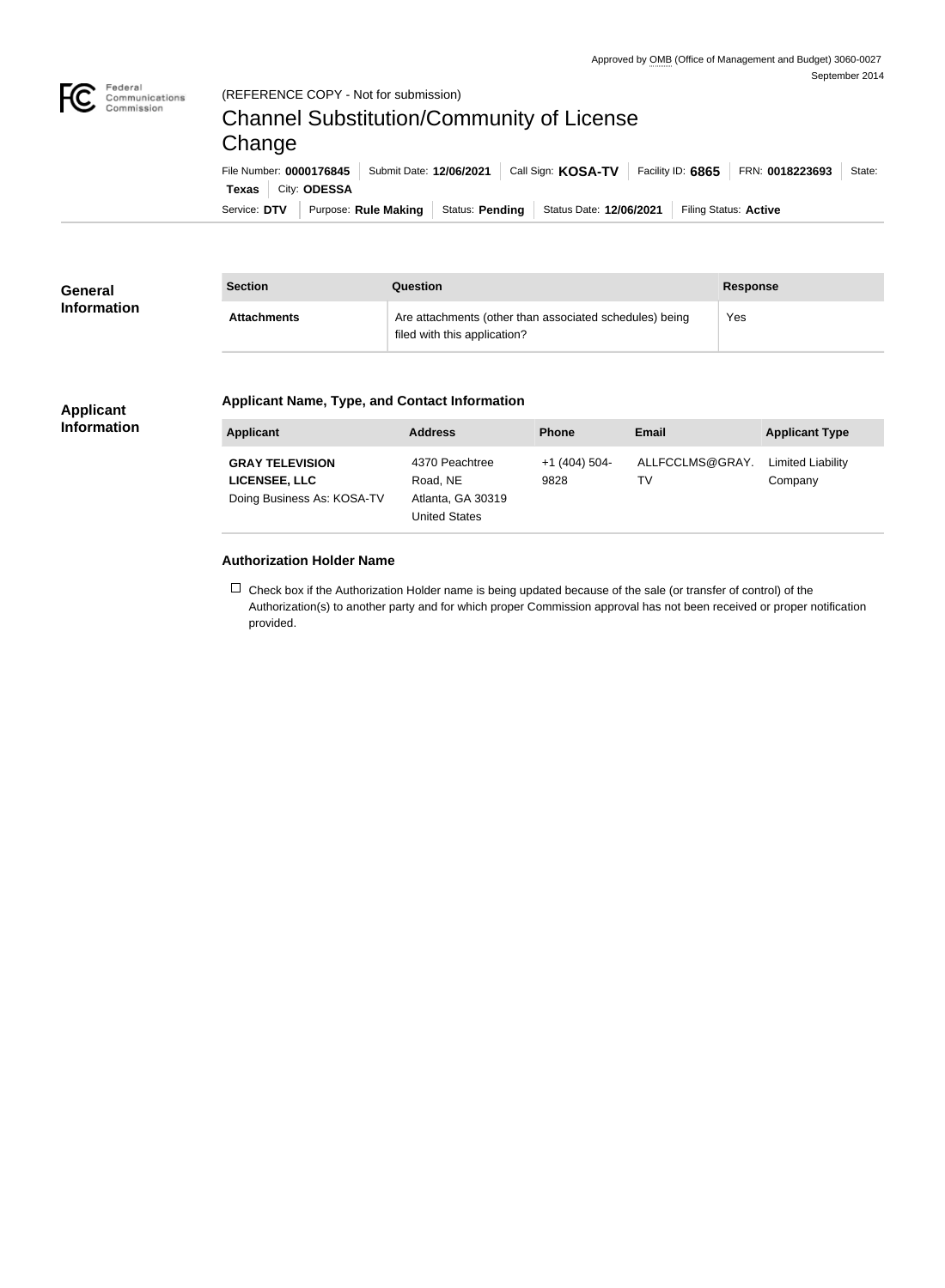

#### (REFERENCE COPY - Not for submission)

# Channel Substitution/Community of License Change

Service: DTV | Purpose: Rule Making | Status: Pending | Status Date: 12/06/2021 | Filing Status: Active **Texas** City: **ODESSA** File Number: **0000176845** Submit Date: **12/06/2021** Call Sign: **KOSA-TV** Facility ID: **6865** FRN: **0018223693** State:

| <b>General</b>     | <b>Section</b>     | Question<br><b>Response</b>                                                             |     |  |  |
|--------------------|--------------------|-----------------------------------------------------------------------------------------|-----|--|--|
| <b>Information</b> | <b>Attachments</b> | Are attachments (other than associated schedules) being<br>filed with this application? | Yes |  |  |

#### **Applicant Information**

#### **Applicant Name, Type, and Contact Information**

| <b>Applicant</b>                                                             | <b>Address</b>                                                          | <b>Phone</b>          | <b>Email</b>          | <b>Applicant Type</b>        |
|------------------------------------------------------------------------------|-------------------------------------------------------------------------|-----------------------|-----------------------|------------------------------|
| <b>GRAY TELEVISION</b><br><b>LICENSEE, LLC</b><br>Doing Business As: KOSA-TV | 4370 Peachtree<br>Road, NE<br>Atlanta, GA 30319<br><b>United States</b> | $+1(404)504-$<br>9828 | ALLFCCLMS@GRAY.<br>TV | Limited Liability<br>Company |

### **Authorization Holder Name**

 $\Box$  Check box if the Authorization Holder name is being updated because of the sale (or transfer of control) of the Authorization(s) to another party and for which proper Commission approval has not been received or proper notification provided.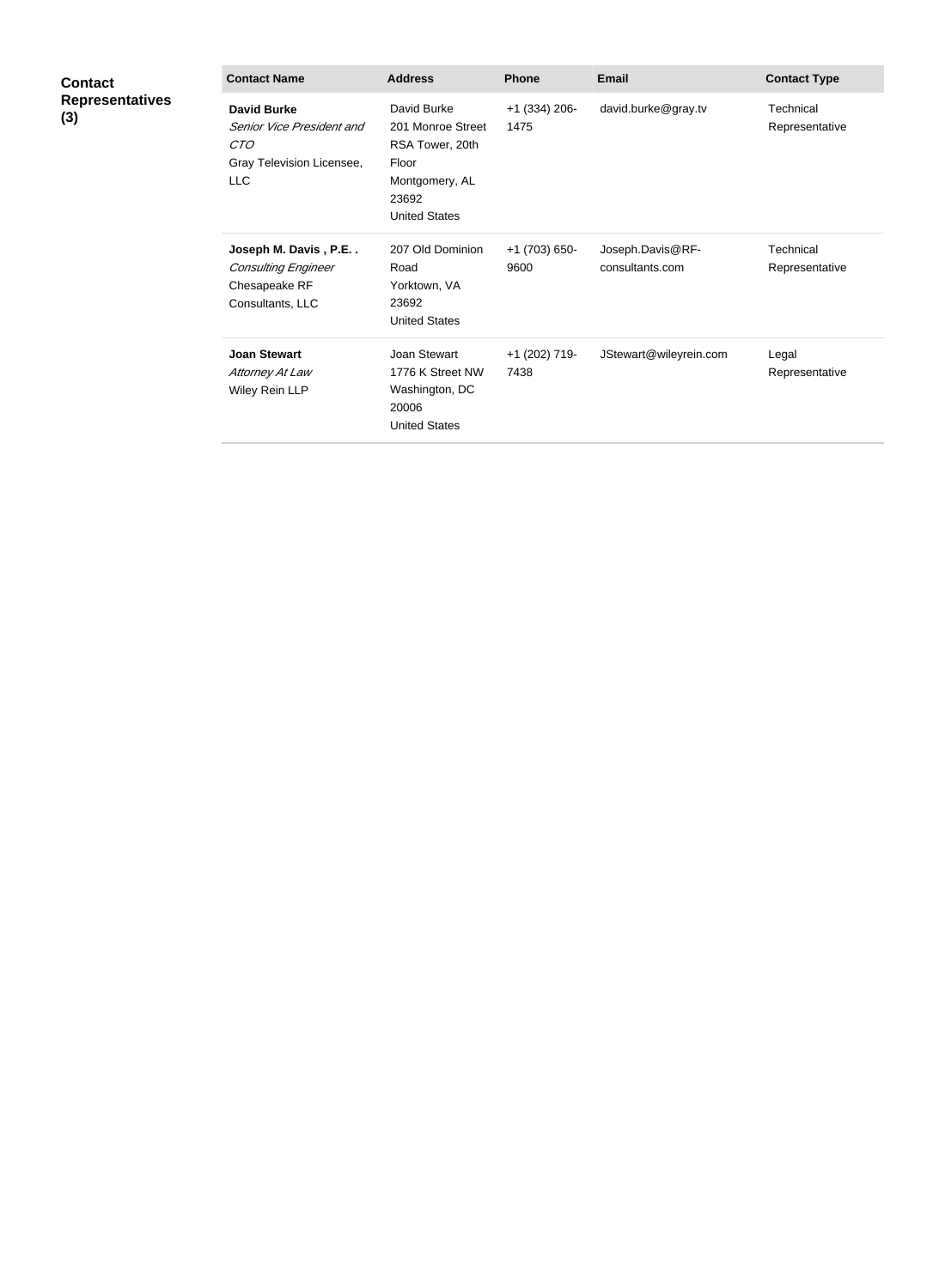| <b>Contact</b><br><b>Representatives</b><br>(3) | <b>Contact Name</b>                                                                               | <b>Address</b>                                                                                                  | <b>Phone</b>            | <b>Email</b>                        | <b>Contact Type</b>         |
|-------------------------------------------------|---------------------------------------------------------------------------------------------------|-----------------------------------------------------------------------------------------------------------------|-------------------------|-------------------------------------|-----------------------------|
|                                                 | <b>David Burke</b><br>Senior Vice President and<br>CTO<br>Gray Television Licensee,<br><b>LLC</b> | David Burke<br>201 Monroe Street<br>RSA Tower, 20th<br>Floor<br>Montgomery, AL<br>23692<br><b>United States</b> | $+1$ (334) 206-<br>1475 | david.burke@gray.tv                 | Technical<br>Representative |
|                                                 | Joseph M. Davis, P.E<br><b>Consulting Engineer</b><br>Chesapeake RF<br>Consultants, LLC           | 207 Old Dominion<br>Road<br>Yorktown, VA<br>23692<br><b>United States</b>                                       | +1 (703) 650-<br>9600   | Joseph.Davis@RF-<br>consultants.com | Technical<br>Representative |
|                                                 | <b>Joan Stewart</b><br>Attorney At Law<br>Wiley Rein LLP                                          | Joan Stewart<br>1776 K Street NW<br>Washington, DC<br>20006<br><b>United States</b>                             | +1 (202) 719-<br>7438   | JStewart@wileyrein.com              | Legal<br>Representative     |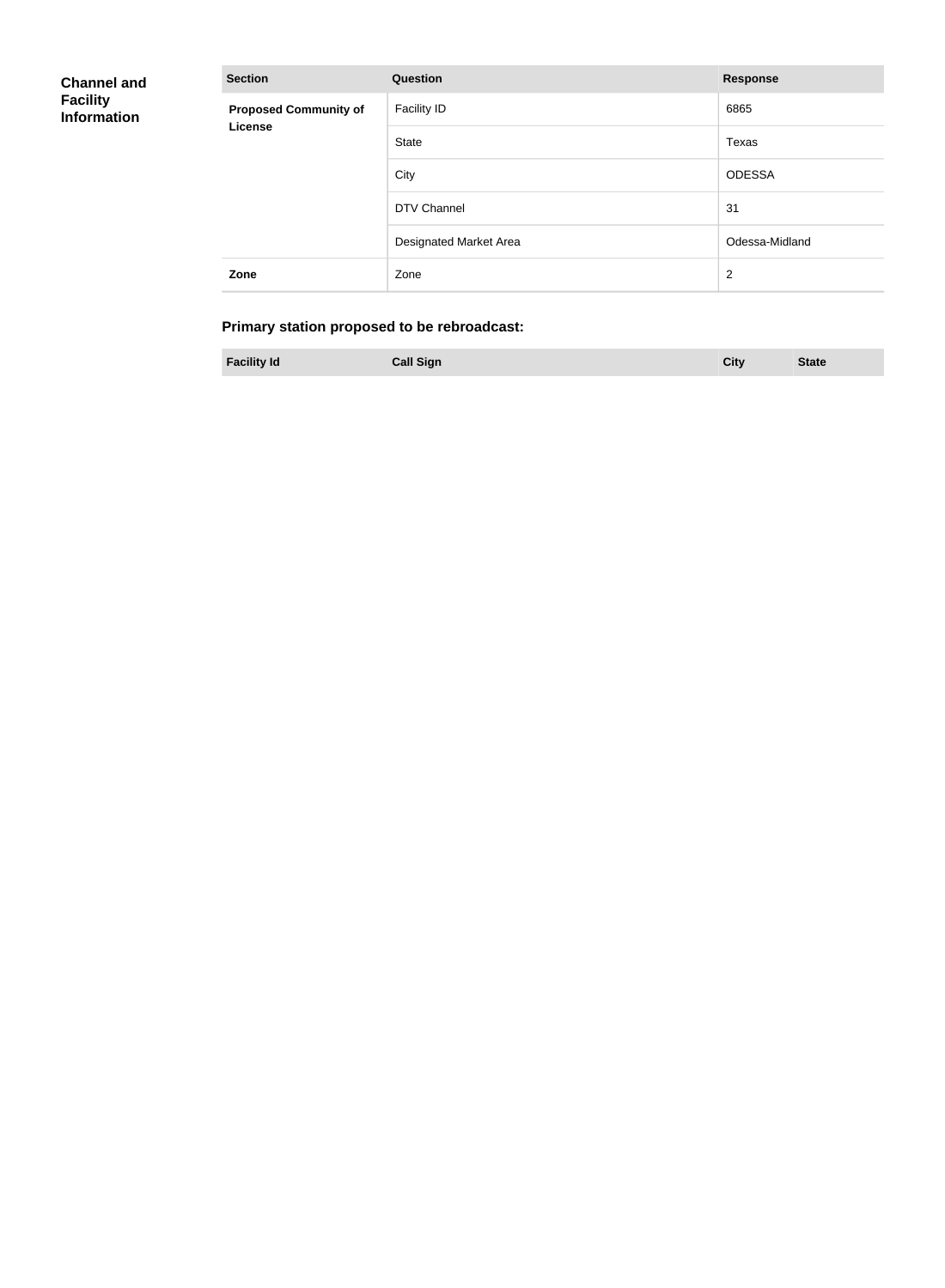| <b>Channel and</b><br><b>Facility</b><br><b>Information</b> | <b>Section</b>               | <b>Question</b>        | <b>Response</b> |
|-------------------------------------------------------------|------------------------------|------------------------|-----------------|
|                                                             | <b>Proposed Community of</b> | Facility ID            | 6865            |
|                                                             | License                      | State                  | Texas           |
|                                                             |                              | City                   | <b>ODESSA</b>   |
|                                                             |                              | DTV Channel            | 31              |
|                                                             |                              | Designated Market Area | Odessa-Midland  |
|                                                             | Zone                         | Zone                   | $\overline{2}$  |

# **Primary station proposed to be rebroadcast:**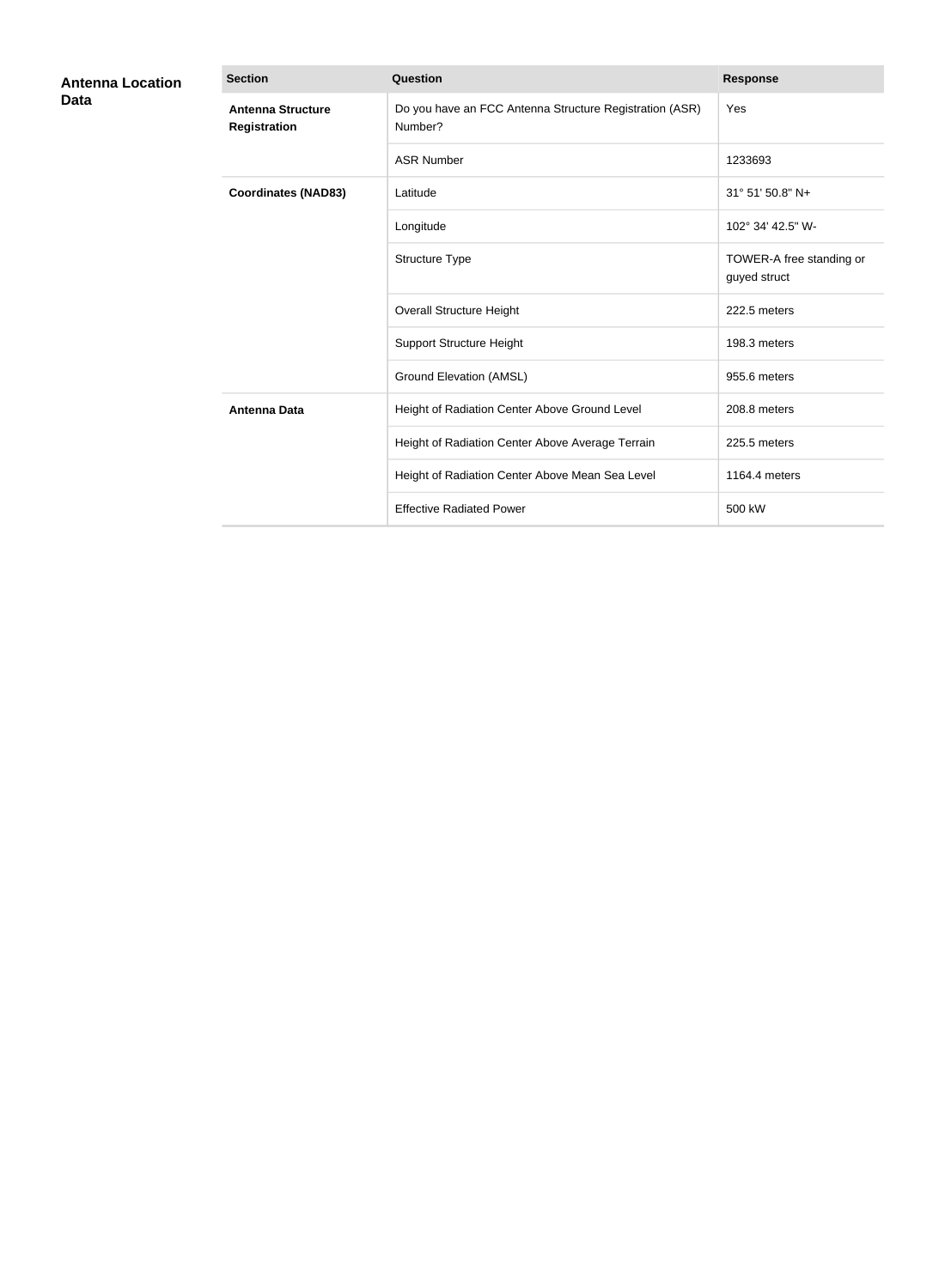| <b>Antenna Location</b><br>Data | <b>Section</b>                                  | <b>Question</b>                                                                                                                                                                                                                                                                                                                                                                                                                                                                                                                                | <b>Response</b>          |  |
|---------------------------------|-------------------------------------------------|------------------------------------------------------------------------------------------------------------------------------------------------------------------------------------------------------------------------------------------------------------------------------------------------------------------------------------------------------------------------------------------------------------------------------------------------------------------------------------------------------------------------------------------------|--------------------------|--|
|                                 | <b>Antenna Structure</b><br><b>Registration</b> | Do you have an FCC Antenna Structure Registration (ASR)<br>Number?                                                                                                                                                                                                                                                                                                                                                                                                                                                                             | Yes                      |  |
|                                 |                                                 | <b>ASR Number</b><br>1233693<br>31° 51' 50.8" N+<br>Latitude<br>102° 34' 42.5" W-<br>Longitude<br>Structure Type<br>guyed struct<br><b>Overall Structure Height</b><br>222.5 meters<br><b>Support Structure Height</b><br>198.3 meters<br><b>Ground Elevation (AMSL)</b><br>955.6 meters<br>Height of Radiation Center Above Ground Level<br>208.8 meters<br>Height of Radiation Center Above Average Terrain<br>225.5 meters<br>Height of Radiation Center Above Mean Sea Level<br>1164.4 meters<br><b>Effective Radiated Power</b><br>500 kW |                          |  |
|                                 | <b>Coordinates (NAD83)</b>                      |                                                                                                                                                                                                                                                                                                                                                                                                                                                                                                                                                |                          |  |
|                                 |                                                 |                                                                                                                                                                                                                                                                                                                                                                                                                                                                                                                                                |                          |  |
|                                 |                                                 |                                                                                                                                                                                                                                                                                                                                                                                                                                                                                                                                                | TOWER-A free standing or |  |
|                                 |                                                 |                                                                                                                                                                                                                                                                                                                                                                                                                                                                                                                                                |                          |  |
|                                 |                                                 |                                                                                                                                                                                                                                                                                                                                                                                                                                                                                                                                                |                          |  |
|                                 |                                                 |                                                                                                                                                                                                                                                                                                                                                                                                                                                                                                                                                |                          |  |
|                                 | <b>Antenna Data</b>                             |                                                                                                                                                                                                                                                                                                                                                                                                                                                                                                                                                |                          |  |
|                                 |                                                 |                                                                                                                                                                                                                                                                                                                                                                                                                                                                                                                                                |                          |  |
|                                 |                                                 |                                                                                                                                                                                                                                                                                                                                                                                                                                                                                                                                                |                          |  |
|                                 |                                                 |                                                                                                                                                                                                                                                                                                                                                                                                                                                                                                                                                |                          |  |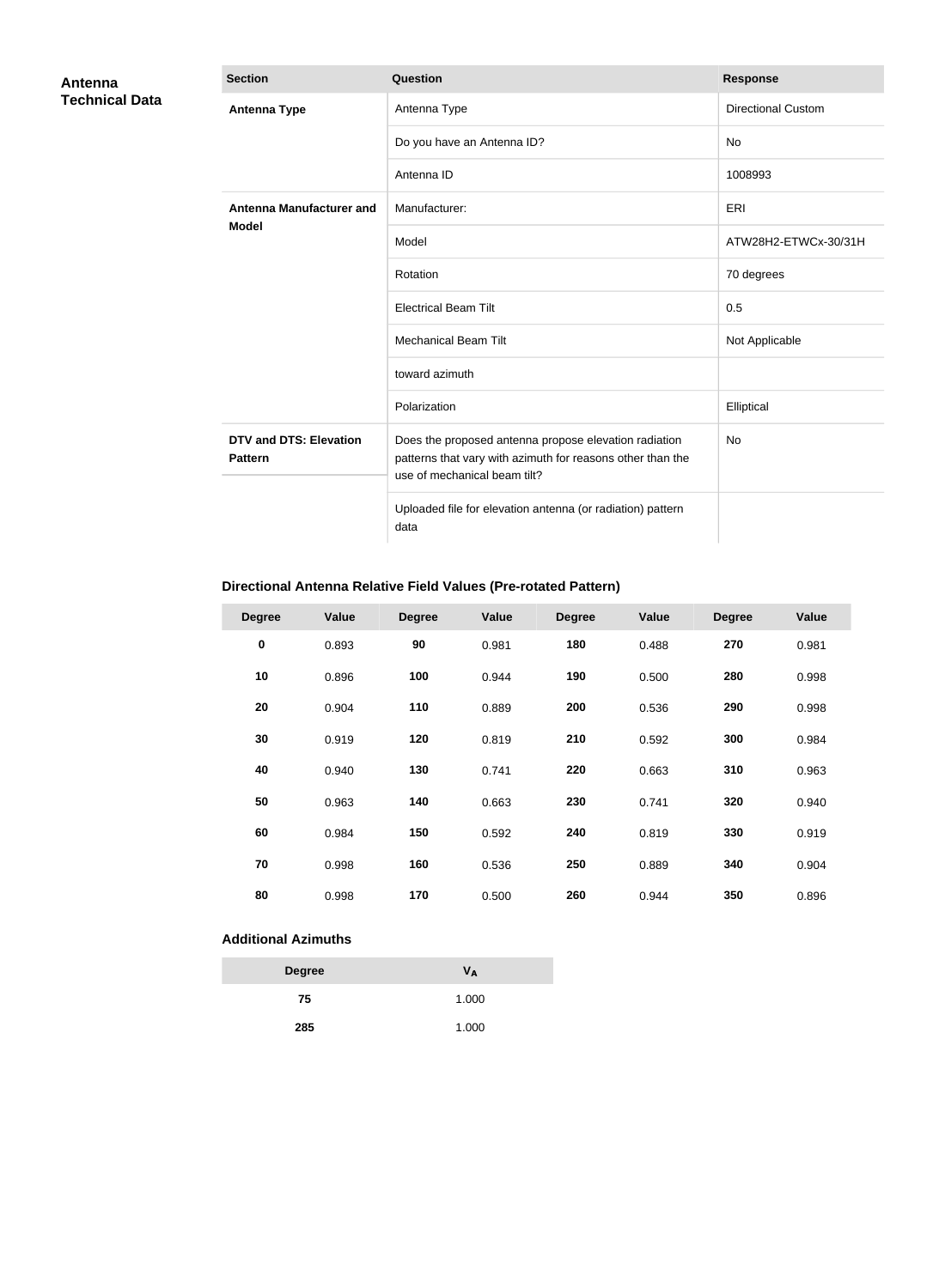| Antenna               | <b>Section</b>                                  | <b>Question</b>                                                                                                                                     | <b>Response</b>           |
|-----------------------|-------------------------------------------------|-----------------------------------------------------------------------------------------------------------------------------------------------------|---------------------------|
| <b>Technical Data</b> | <b>Antenna Type</b>                             | Antenna Type                                                                                                                                        | <b>Directional Custom</b> |
|                       |                                                 | Do you have an Antenna ID?                                                                                                                          | No                        |
|                       |                                                 | Antenna ID                                                                                                                                          | 1008993                   |
|                       | <b>Antenna Manufacturer and</b>                 | Manufacturer:                                                                                                                                       | ERI                       |
|                       | <b>Model</b>                                    | Model                                                                                                                                               | ATW28H2-ETWCx-30/31H      |
|                       |                                                 | Rotation                                                                                                                                            | 70 degrees                |
|                       |                                                 | <b>Electrical Beam Tilt</b>                                                                                                                         | 0.5                       |
|                       |                                                 | <b>Mechanical Beam Tilt</b>                                                                                                                         | Not Applicable            |
|                       |                                                 | toward azimuth                                                                                                                                      |                           |
|                       |                                                 | Polarization                                                                                                                                        | Elliptical                |
|                       | <b>DTV and DTS: Elevation</b><br><b>Pattern</b> | Does the proposed antenna propose elevation radiation<br>patterns that vary with azimuth for reasons other than the<br>use of mechanical beam tilt? | <b>No</b>                 |
|                       |                                                 | Uploaded file for elevation antenna (or radiation) pattern<br>data                                                                                  |                           |

## **Directional Antenna Relative Field Values (Pre-rotated Pattern)**

| <b>Degree</b> | Value | <b>Degree</b> | Value | <b>Degree</b> | Value | <b>Degree</b> | Value |
|---------------|-------|---------------|-------|---------------|-------|---------------|-------|
| $\pmb{0}$     | 0.893 | 90            | 0.981 | 180           | 0.488 | 270           | 0.981 |
| 10            | 0.896 | 100           | 0.944 | 190           | 0.500 | 280           | 0.998 |
| 20            | 0.904 | 110           | 0.889 | 200           | 0.536 | 290           | 0.998 |
| 30            | 0.919 | 120           | 0.819 | 210           | 0.592 | 300           | 0.984 |
| 40            | 0.940 | 130           | 0.741 | 220           | 0.663 | 310           | 0.963 |
| 50            | 0.963 | 140           | 0.663 | 230           | 0.741 | 320           | 0.940 |
| 60            | 0.984 | 150           | 0.592 | 240           | 0.819 | 330           | 0.919 |
| 70            | 0.998 | 160           | 0.536 | 250           | 0.889 | 340           | 0.904 |
| 80            | 0.998 | 170           | 0.500 | 260           | 0.944 | 350           | 0.896 |

### **Additional Azimuths**

| <b>Degree</b> | Vд    |
|---------------|-------|
| 75            | 1.000 |
| 285           | 1.000 |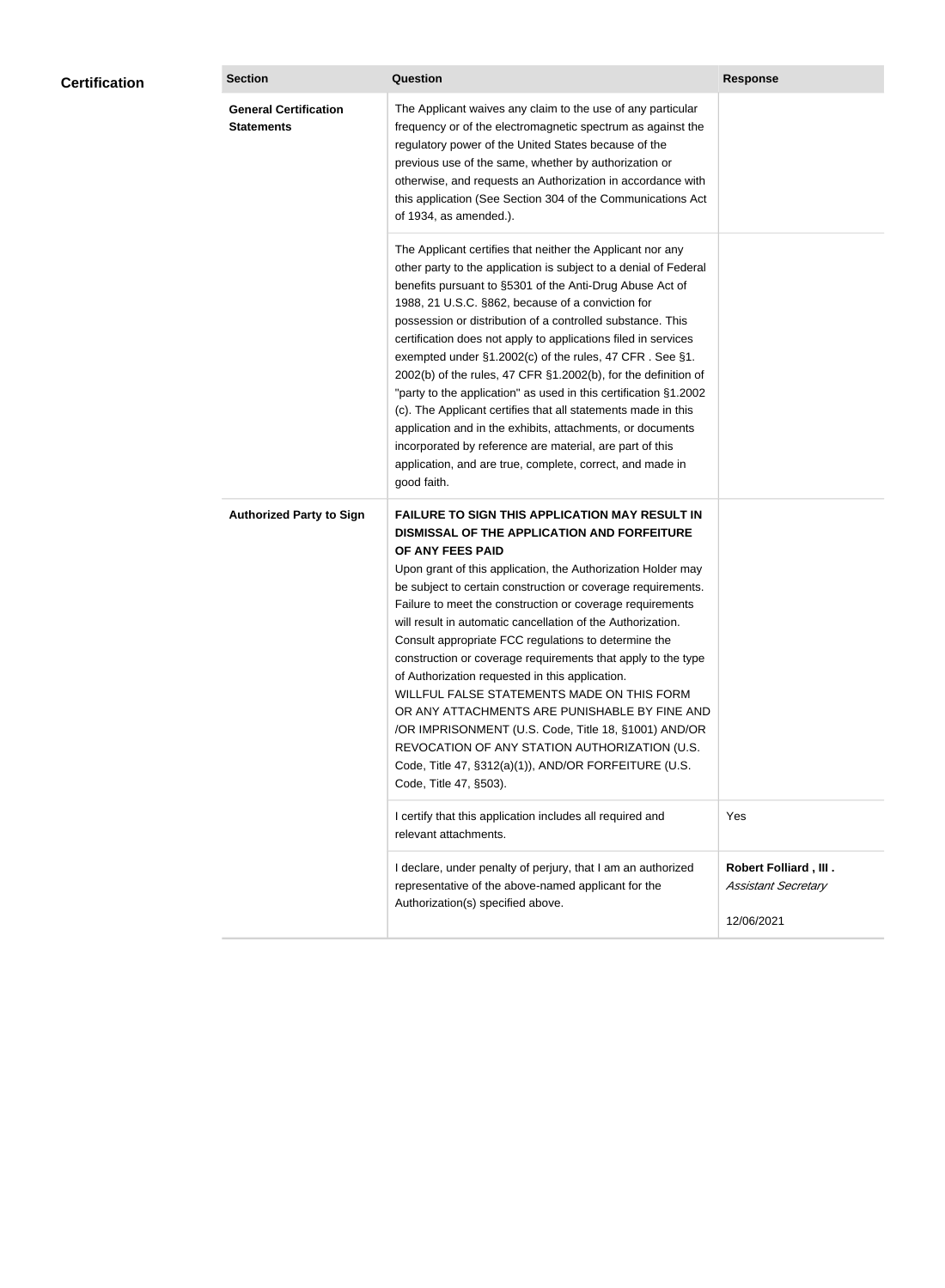| <b>Certification</b> | <b>Section</b>                                    | Question                                                                                                                                                                                                                                                                                                                                                                                                                                                                                                                                                                                                                                                                                                                                                                                                                                                  |                                                                          |  |
|----------------------|---------------------------------------------------|-----------------------------------------------------------------------------------------------------------------------------------------------------------------------------------------------------------------------------------------------------------------------------------------------------------------------------------------------------------------------------------------------------------------------------------------------------------------------------------------------------------------------------------------------------------------------------------------------------------------------------------------------------------------------------------------------------------------------------------------------------------------------------------------------------------------------------------------------------------|--------------------------------------------------------------------------|--|
|                      | <b>General Certification</b><br><b>Statements</b> | The Applicant waives any claim to the use of any particular<br>frequency or of the electromagnetic spectrum as against the<br>regulatory power of the United States because of the<br>previous use of the same, whether by authorization or<br>otherwise, and requests an Authorization in accordance with<br>this application (See Section 304 of the Communications Act<br>of 1934, as amended.).                                                                                                                                                                                                                                                                                                                                                                                                                                                       | <b>Response</b>                                                          |  |
|                      |                                                   | The Applicant certifies that neither the Applicant nor any<br>other party to the application is subject to a denial of Federal<br>benefits pursuant to §5301 of the Anti-Drug Abuse Act of<br>1988, 21 U.S.C. §862, because of a conviction for<br>possession or distribution of a controlled substance. This<br>certification does not apply to applications filed in services<br>exempted under §1.2002(c) of the rules, 47 CFR. See §1.<br>2002(b) of the rules, 47 CFR §1.2002(b), for the definition of<br>"party to the application" as used in this certification §1.2002<br>(c). The Applicant certifies that all statements made in this<br>application and in the exhibits, attachments, or documents<br>incorporated by reference are material, are part of this<br>application, and are true, complete, correct, and made in<br>good faith.   |                                                                          |  |
|                      | <b>Authorized Party to Sign</b>                   | <b>FAILURE TO SIGN THIS APPLICATION MAY RESULT IN</b><br>DISMISSAL OF THE APPLICATION AND FORFEITURE<br>OF ANY FEES PAID<br>Upon grant of this application, the Authorization Holder may<br>be subject to certain construction or coverage requirements.<br>Failure to meet the construction or coverage requirements<br>will result in automatic cancellation of the Authorization.<br>Consult appropriate FCC regulations to determine the<br>construction or coverage requirements that apply to the type<br>of Authorization requested in this application.<br>WILLFUL FALSE STATEMENTS MADE ON THIS FORM<br>OR ANY ATTACHMENTS ARE PUNISHABLE BY FINE AND<br>/OR IMPRISONMENT (U.S. Code, Title 18, §1001) AND/OR<br>REVOCATION OF ANY STATION AUTHORIZATION (U.S.<br>Code, Title 47, §312(a)(1)), AND/OR FORFEITURE (U.S.<br>Code, Title 47, §503). |                                                                          |  |
|                      |                                                   | I certify that this application includes all required and<br>relevant attachments.                                                                                                                                                                                                                                                                                                                                                                                                                                                                                                                                                                                                                                                                                                                                                                        | Yes                                                                      |  |
|                      |                                                   | I declare, under penalty of perjury, that I am an authorized<br>representative of the above-named applicant for the<br>Authorization(s) specified above.                                                                                                                                                                                                                                                                                                                                                                                                                                                                                                                                                                                                                                                                                                  | <b>Robert Folliard, III.</b><br><b>Assistant Secretary</b><br>12/06/2021 |  |